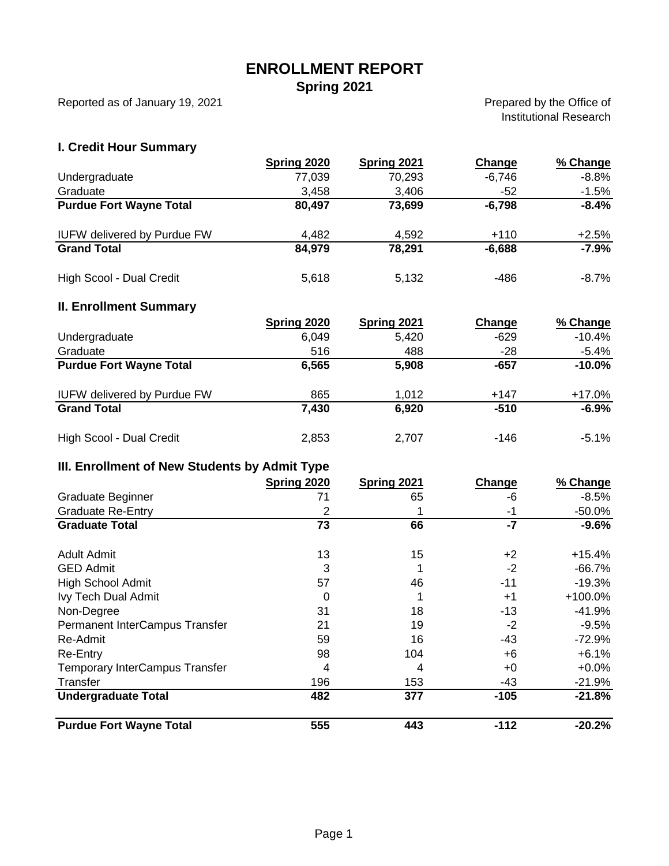## **ENROLLMENT REPORT**

**Spring 2021**

Reported as of January 19, 2021

Prepared by the Office of Institutional Research

### **I. Credit Hour Summary**

|                                    | Spring 2020 | Spring 2021 | Change   | % Change |
|------------------------------------|-------------|-------------|----------|----------|
| Undergraduate                      | 77,039      | 70,293      | $-6,746$ | $-8.8%$  |
| Graduate                           | 3,458       | 3.406       | -52      | $-1.5%$  |
| <b>Purdue Fort Wayne Total</b>     | 80,497      | 73,699      | $-6,798$ | $-8.4%$  |
| <b>IUFW delivered by Purdue FW</b> | 4,482       | 4,592       | $+110$   | $+2.5%$  |
| <b>Grand Total</b>                 | 84,979      | 78,291      | $-6,688$ | $-7.9%$  |
| High Scool - Dual Credit           | 5,618       | 5.132       | -486     | $-8.7\%$ |

#### **II. Enrollment Summary**

|                                    | Spring 2020 | <b>Spring 2021</b> | Change | % Change  |
|------------------------------------|-------------|--------------------|--------|-----------|
| Undergraduate                      | 6,049       | 5,420              | $-629$ | $-10.4\%$ |
| Graduate                           | 516         | 488                | $-28$  | $-5.4\%$  |
| <b>Purdue Fort Wayne Total</b>     | 6,565       | 5,908              | -657   | $-10.0%$  |
| <b>IUFW delivered by Purdue FW</b> | 865         | 1,012              | $+147$ | $+17.0\%$ |
| <b>Grand Total</b>                 | 7.430       | 6,920              | $-510$ | $-6.9%$   |
| High Scool - Dual Credit           | 2,853       | 2,707              | $-146$ | $-5.1\%$  |

#### **III. Enrollment of New Students by Admit Type**

|                                       | Spring 2020 | Spring 2021 | Change | % Change  |
|---------------------------------------|-------------|-------------|--------|-----------|
| Graduate Beginner                     | 71          | 65          | -6     | $-8.5%$   |
| <b>Graduate Re-Entry</b>              | 2           |             | -1     | $-50.0%$  |
| <b>Graduate Total</b>                 | 73          | 66          | $-7$   | $-9.6\%$  |
| Adult Admit                           | 13          | 15          | +2     | $+15.4%$  |
| <b>GED Admit</b>                      | 3           |             | $-2$   | -66.7%    |
| <b>High School Admit</b>              | 57          | 46          | -11    | $-19.3%$  |
| Ivy Tech Dual Admit                   | 0           |             | $+1$   | $+100.0%$ |
| Non-Degree                            | 31          | 18          | $-13$  | $-41.9%$  |
| Permanent InterCampus Transfer        | 21          | 19          | -2     | $-9.5%$   |
| Re-Admit                              | 59          | 16          | $-43$  | $-72.9%$  |
| Re-Entry                              | 98          | 104         | +6     | $+6.1%$   |
| <b>Temporary InterCampus Transfer</b> | 4           | 4           | +0     | $+0.0\%$  |
| Transfer                              | 196         | 153         | -43    | $-21.9%$  |
| <b>Undergraduate Total</b>            | 482         | 377         | $-105$ | $-21.8%$  |
| <b>Purdue Fort Wayne Total</b>        | 555         | 443         | $-112$ | $-20.2%$  |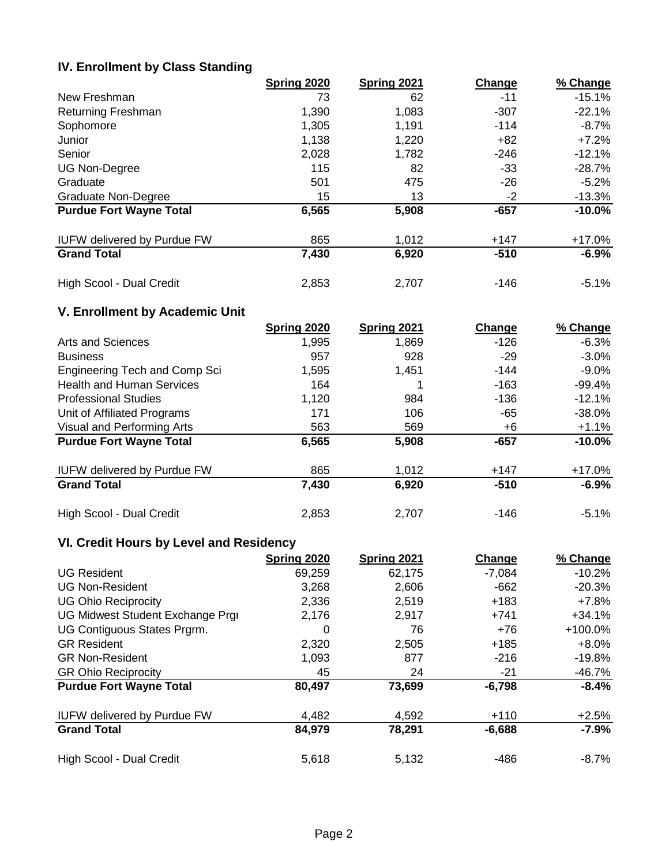#### **IV. Enrollment by Class Standing**

|                                    | Spring 2020 | Spring 2021 | Change | % Change  |
|------------------------------------|-------------|-------------|--------|-----------|
| New Freshman                       | 73          | 62          | -11    | $-15.1%$  |
| <b>Returning Freshman</b>          | 1,390       | 1,083       | $-307$ | $-22.1%$  |
| Sophomore                          | 1,305       | 1,191       | $-114$ | $-8.7\%$  |
| Junior                             | 1,138       | 1,220       | $+82$  | $+7.2%$   |
| Senior                             | 2,028       | 1,782       | -246   | $-12.1\%$ |
| <b>UG Non-Degree</b>               | 115         | 82          | $-33$  | -28.7%    |
| Graduate                           | 501         | 475         | -26    | $-5.2%$   |
| <b>Graduate Non-Degree</b>         | 15          | 13          | $-2$   | $-13.3%$  |
| <b>Purdue Fort Wayne Total</b>     | 6,565       | 5,908       | $-657$ | $-10.0%$  |
| <b>IUFW delivered by Purdue FW</b> | 865         | 1,012       | $+147$ | +17.0%    |
| <b>Grand Total</b>                 | 7,430       | 6,920       | $-510$ | $-6.9%$   |
| High Scool - Dual Credit           | 2,853       | 2,707       | $-146$ | $-5.1%$   |

## **V. Enrollment by Academic Unit**

|                                    | Spring 2020 | <b>Spring 2021</b> | Change | % Change  |
|------------------------------------|-------------|--------------------|--------|-----------|
| Arts and Sciences                  | 1,995       | 1,869              | $-126$ | $-6.3%$   |
| <b>Business</b>                    | 957         | 928                | $-29$  | $-3.0\%$  |
| Engineering Tech and Comp Sci      | 1,595       | 1,451              | $-144$ | $-9.0\%$  |
| <b>Health and Human Services</b>   | 164         |                    | $-163$ | -99.4%    |
| <b>Professional Studies</b>        | 1,120       | 984                | $-136$ | $-12.1%$  |
| Unit of Affiliated Programs        | 171         | 106                | -65    | $-38.0\%$ |
| Visual and Performing Arts         | 563         | 569                | +6     | $+1.1%$   |
| <b>Purdue Fort Wayne Total</b>     | 6,565       | 5,908              | $-657$ | $-10.0%$  |
| <b>IUFW delivered by Purdue FW</b> | 865         | 1,012              | $+147$ | $+17.0\%$ |
| <b>Grand Total</b>                 | 7,430       | 6,920              | $-510$ | $-6.9%$   |
| High Scool - Dual Credit           | 2,853       | 2,707              | $-146$ | $-5.1%$   |

## **VI. Credit Hours by Level and Residency**

|                                    | Spring 2020 | Spring 2021 | Change   | % Change  |
|------------------------------------|-------------|-------------|----------|-----------|
| <b>UG Resident</b>                 | 69,259      | 62,175      | $-7,084$ | $-10.2%$  |
| <b>UG Non-Resident</b>             | 3,268       | 2,606       | $-662$   | $-20.3%$  |
| <b>UG Ohio Reciprocity</b>         | 2,336       | 2,519       | $+183$   | +7.8%     |
| UG Midwest Student Exchange Prgi   | 2,176       | 2,917       | $+741$   | $+34.1%$  |
| UG Contiguous States Prgrm.        | 0           | 76          | +76      | $+100.0%$ |
| <b>GR Resident</b>                 | 2,320       | 2,505       | $+185$   | $+8.0%$   |
| <b>GR Non-Resident</b>             | 1,093       | 877         | $-216$   | $-19.8%$  |
| <b>GR Ohio Reciprocity</b>         | 45          | 24          | $-21$    | -46.7%    |
| <b>Purdue Fort Wayne Total</b>     | 80,497      | 73,699      | $-6,798$ | $-8.4%$   |
| <b>IUFW delivered by Purdue FW</b> | 4,482       | 4,592       | $+110$   | $+2.5%$   |
| <b>Grand Total</b>                 | 84,979      | 78,291      | $-6,688$ | $-7.9%$   |
| High Scool - Dual Credit           | 5,618       | 5.132       | -486     | $-8.7\%$  |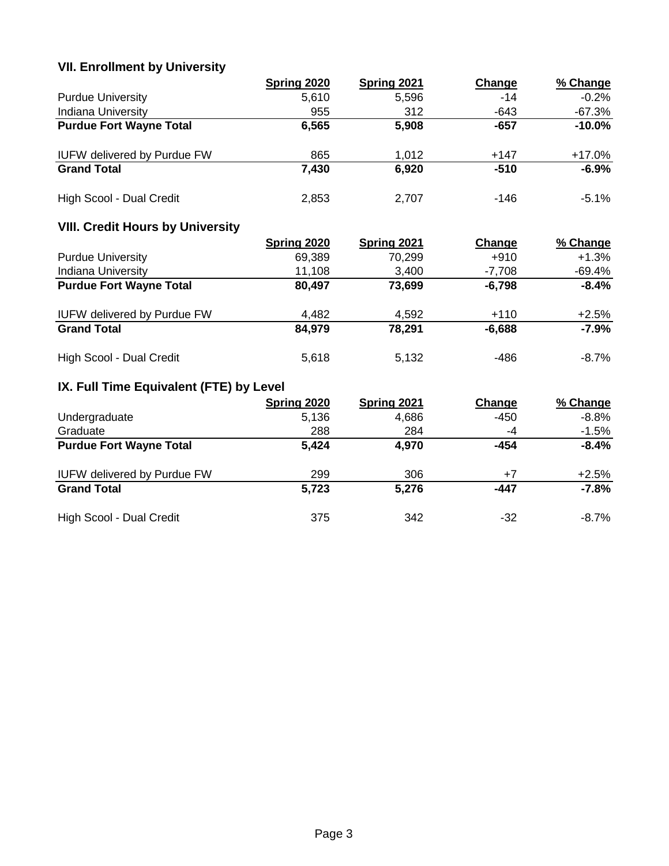# **VII. Enrollment by University**

|                                    | Spring 2020 | Spring 2021 | Change | % Change  |
|------------------------------------|-------------|-------------|--------|-----------|
| <b>Purdue University</b>           | 5,610       | 5,596       | $-14$  | $-0.2%$   |
| <b>Indiana University</b>          | 955         | 312         | $-643$ | $-67.3%$  |
| <b>Purdue Fort Wayne Total</b>     | 6,565       | 5,908       | -657   | $-10.0\%$ |
| <b>IUFW delivered by Purdue FW</b> | 865         | 1,012       | $+147$ | $+17.0\%$ |
| <b>Grand Total</b>                 | 7,430       | 6,920       | $-510$ | $-6.9%$   |
| High Scool - Dual Credit           | 2,853       | 2,707       | $-146$ | $-5.1\%$  |

# **VIII. Credit Hours by University**

|                                    | <b>Spring 2020</b> | <b>Spring 2021</b> | Change   | % Change |
|------------------------------------|--------------------|--------------------|----------|----------|
| <b>Purdue University</b>           | 69,389             | 70,299             | $+910$   | $+1.3%$  |
| <b>Indiana University</b>          | 11,108             | 3.400              | $-7,708$ | -69.4%   |
| <b>Purdue Fort Wayne Total</b>     | 80,497             | 73,699             | $-6,798$ | $-8.4%$  |
| <b>IUFW delivered by Purdue FW</b> | 4,482              | 4,592              | $+110$   | $+2.5%$  |
| <b>Grand Total</b>                 | 84,979             | 78,291             | $-6,688$ | $-7.9%$  |
| High Scool - Dual Credit           | 5,618              | 5.132              | -486     | $-8.7\%$ |

# **IX. Full Time Equivalent (FTE) by Level**

|                                    | Spring 2020 | Spring 2021 | Change | % Change |
|------------------------------------|-------------|-------------|--------|----------|
| Undergraduate                      | 5,136       | 4,686       | $-450$ | $-8.8%$  |
| Graduate                           | 288         | 284         | -4     | $-1.5%$  |
| <b>Purdue Fort Wayne Total</b>     | 5,424       | 4,970       | -454   | $-8.4%$  |
| <b>IUFW delivered by Purdue FW</b> | 299         | 306         | $+7$   | $+2.5%$  |
| <b>Grand Total</b>                 | 5,723       | 5,276       | -447   | $-7.8%$  |
| High Scool - Dual Credit           | 375         | 342         | -32    | $-8.7\%$ |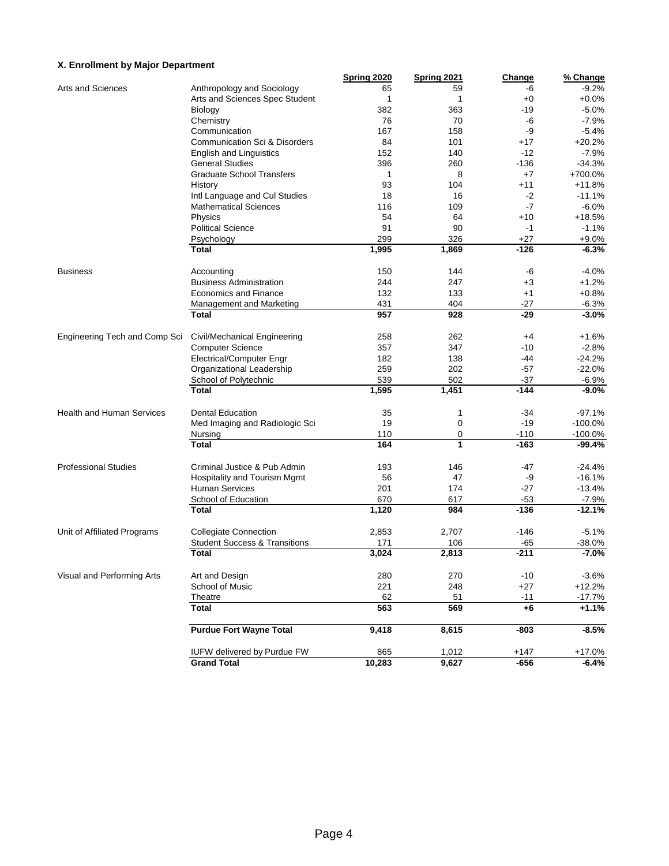#### **X. Enrollment by Major Department**

|                                  |                                          | Spring 2020 | <b>Spring 2021</b> | Change        | % Change            |
|----------------------------------|------------------------------------------|-------------|--------------------|---------------|---------------------|
| Arts and Sciences                | Anthropology and Sociology               | 65          | 59                 | -6            | $-9.2%$             |
|                                  | Arts and Sciences Spec Student           | 1           | 1                  | $+0$          | $+0.0%$             |
|                                  | Biology                                  | 382         | 363                | -19           | $-5.0%$             |
|                                  | Chemistry                                | 76          | 70                 | -6            | $-7.9%$             |
|                                  | Communication                            | 167         | 158                | -9            | $-5.4%$             |
|                                  | <b>Communication Sci &amp; Disorders</b> | 84          | 101                | $+17$         | $+20.2%$            |
|                                  | English and Linguistics                  | 152         | 140                | $-12$         | $-7.9%$             |
|                                  | <b>General Studies</b>                   | 396         | 260                | $-136$        | $-34.3%$            |
|                                  | <b>Graduate School Transfers</b>         | 1           | 8                  | $+7$          | +700.0%             |
|                                  | History                                  | 93          | 104                | $+11$         | $+11.8%$            |
|                                  | Intl Language and Cul Studies            | 18          | 16                 | $-2$          | $-11.1%$            |
|                                  | <b>Mathematical Sciences</b>             | 116         | 109                | $-7$          | $-6.0%$             |
|                                  | Physics                                  | 54          | 64                 | $+10$         | $+18.5%$            |
|                                  | <b>Political Science</b>                 | 91          | 90                 | $-1$          | $-1.1%$             |
|                                  | Psychology                               | 299         | 326                | $+27$         | $+9.0%$             |
|                                  | <b>Total</b>                             | 1,995       | 1,869              | $-126$        | $-6.3%$             |
| <b>Business</b>                  | Accounting                               | 150         | 144                | -6            | $-4.0%$             |
|                                  | <b>Business Administration</b>           | 244         | 247                | $+3$          | $+1.2%$             |
|                                  | <b>Economics and Finance</b>             | 132         | 133                | $+1$          | $+0.8%$             |
|                                  | Management and Marketing                 | 431         | 404                | -27           | $-6.3%$             |
|                                  | <b>Total</b>                             | 957         | 928                | $-29$         | $-3.0%$             |
| Engineering Tech and Comp Sci    | Civil/Mechanical Engineering             | 258         | 262                | $+4$          | $+1.6%$             |
|                                  | <b>Computer Science</b>                  | 357         | 347                | $-10$         | $-2.8%$             |
|                                  | Electrical/Computer Engr                 | 182         | 138                | $-44$         | $-24.2%$            |
|                                  | Organizational Leadership                | 259         | 202                | $-57$         | $-22.0%$            |
|                                  | School of Polytechnic                    | 539         | 502                | $-37$         | $-6.9%$             |
|                                  | <b>Total</b>                             | 1,595       | 1,451              | $-144$        | $-9.0%$             |
| <b>Health and Human Services</b> | <b>Dental Education</b>                  | 35          | 1                  | $-34$         | $-97.1%$            |
|                                  | Med Imaging and Radiologic Sci           | 19          | 0                  | $-19$         | $-100.0%$           |
|                                  | Nursing                                  | 110         | 0                  | $-110$        | $-100.0%$           |
|                                  | <b>Total</b>                             | 164         | 1                  | $-163$        | $-99.4%$            |
| <b>Professional Studies</b>      | Criminal Justice & Pub Admin             | 193         | 146                | $-47$         | $-24.4%$            |
|                                  | Hospitality and Tourism Mgmt             | 56          | 47                 | -9            | $-16.1%$            |
|                                  | <b>Human Services</b>                    | 201         | 174                | -27           | $-13.4%$            |
|                                  | School of Education                      | 670         | 617                | $-53$         | $-7.9%$             |
|                                  | <b>Total</b>                             | 1,120       | 984                | $-136$        | $-12.1%$            |
| Unit of Affiliated Programs      | <b>Collegiate Connection</b>             | 2,853       | 2,707              | $-146$        | $-5.1%$             |
|                                  | <b>Student Success &amp; Transitions</b> | 171         | 106                | $-65$         | $-38.0%$            |
|                                  | <b>Total</b>                             | 3,024       | 2,813              | -211          | $-7.0%$             |
| Visual and Performing Arts       | Art and Design                           | 280         | 270                | $-10$         | $-3.6%$             |
|                                  | School of Music                          |             | 248                | $+27$         |                     |
|                                  |                                          | 221<br>62   |                    |               | $+12.2%$            |
|                                  | Theatre<br><b>Total</b>                  | 563         | 51<br>569          | $-11$<br>$+6$ | $-17.7%$<br>$+1.1%$ |
|                                  | <b>Purdue Fort Wayne Total</b>           | 9,418       | 8,615              | $-803$        | $-8.5%$             |
|                                  |                                          |             |                    |               |                     |
|                                  | IUFW delivered by Purdue FW              | 865         | 1,012              | $+147$        | $+17.0%$            |
|                                  | <b>Grand Total</b>                       | 10,283      | 9,627              | -656          | -6.4%               |